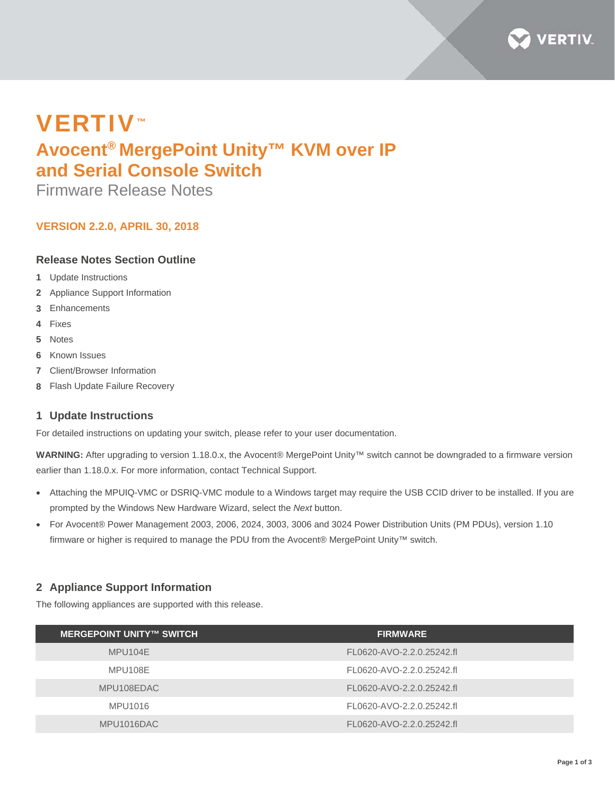

# VERTIV™ **Avocent® MergePoint Unity™ KVM over IP and Serial Console Switch**

Firmware Release Notes

# **VERSION 2.2.0, APRIL 30, 2018**

## **Release Notes Section Outline**

- **1** Update Instructions
- **2** Appliance Support Information
- **3** Enhancements
- **4** Fixes
- **5** Notes
- **6** Known Issues
- **7** Client/Browser Information
- **8** Flash Update Failure Recovery

### **1 Update Instructions**

For detailed instructions on updating your switch, please refer to your user documentation.

**WARNING:** After upgrading to version 1.18.0.x, the Avocent® MergePoint Unity™ switch cannot be downgraded to a firmware version earlier than 1.18.0.x. For more information, contact Technical Support.

- Attaching the MPUIQ-VMC or DSRIQ-VMC module to a Windows target may require the USB CCID driver to be installed. If you are prompted by the Windows New Hardware Wizard, select the *Next* button.
- For Avocent® Power Management 2003, 2006, 2024, 3003, 3006 and 3024 Power Distribution Units (PM PDUs), version 1.10 firmware or higher is required to manage the PDU from the Avocent® MergePoint Unity™ switch.

# **2 Appliance Support Information**

The following appliances are supported with this release.

| <b>MERGEPOINT UNITY™ SWITCH</b> | <b>FIRMWARE</b>           |
|---------------------------------|---------------------------|
| MPU104E                         | FL0620-AVO-2.2.0.25242.fl |
| MPU108E                         | FL0620-AVO-2.2.0.25242.fl |
| MPU108EDAC                      | FL0620-AVO-2.2.0.25242.fl |
| MPU1016                         | FL0620-AVO-2.2.0.25242.fl |
| MPU1016DAC                      | FL0620-AVO-2.2.0.25242.fl |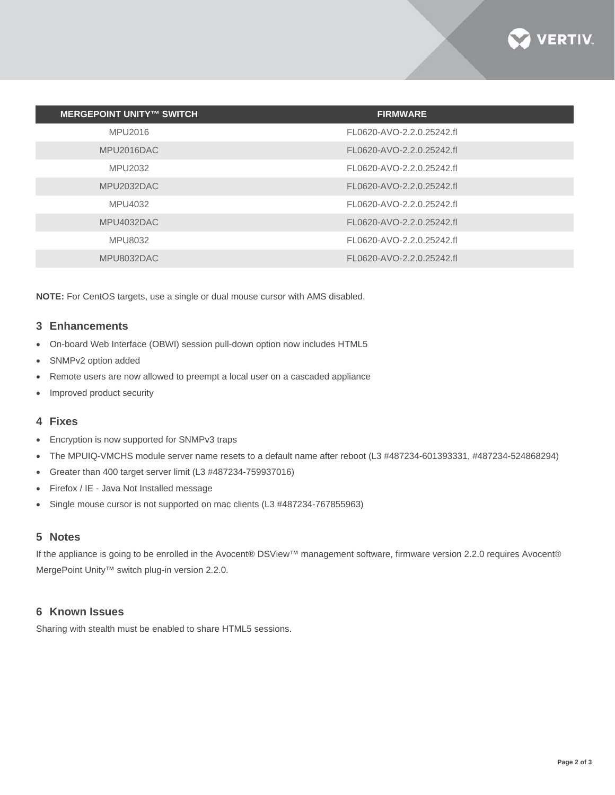

| <b>MERGEPOINT UNITY™ SWITCH</b> | <b>FIRMWARE</b>           |
|---------------------------------|---------------------------|
| MPU2016                         | FL0620-AVO-2.2.0.25242.fl |
| MPU2016DAC                      | FL0620-AVO-2.2.0.25242.fl |
| MPU2032                         | FL0620-AVO-2.2.0.25242.fl |
| MPU2032DAC                      | FL0620-AVO-2.2.0.25242.fl |
| MPU4032                         | FL0620-AVO-2.2.0.25242.fl |
| MPU4032DAC                      | FL0620-AVO-2.2.0.25242.fl |
| MPU8032                         | FL0620-AVO-2.2.0.25242.fl |
| MPU8032DAC                      | FL0620-AVO-2.2.0.25242.fl |

**NOTE:** For CentOS targets, use a single or dual mouse cursor with AMS disabled.

#### **3 Enhancements**

- On-board Web Interface (OBWI) session pull-down option now includes HTML5
- SNMPv2 option added
- Remote users are now allowed to preempt a local user on a cascaded appliance
- Improved product security

#### **4 Fixes**

- Encryption is now supported for SNMPv3 traps
- The MPUIQ-VMCHS module server name resets to a default name after reboot (L3 #487234-601393331, #487234-524868294)
- Greater than 400 target server limit (L3 #487234-759937016)
- Firefox / IE Java Not Installed message
- Single mouse cursor is not supported on mac clients (L3 #487234-767855963)

## **5 Notes**

If the appliance is going to be enrolled in the Avocent® DSView™ management software, firmware version 2.2.0 requires Avocent® MergePoint Unity™ switch plug-in version 2.2.0.

#### **6 Known Issues**

Sharing with stealth must be enabled to share HTML5 sessions.